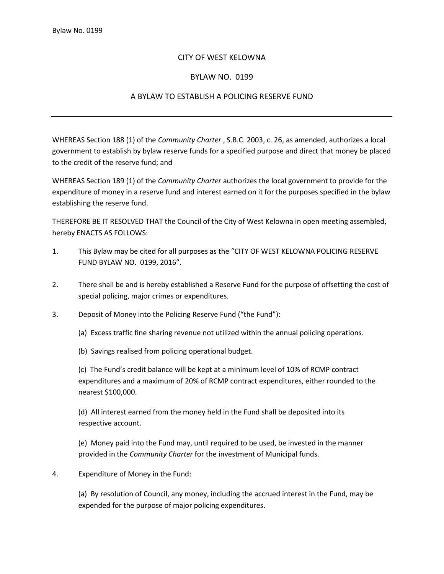## CITY OF WEST KELOWNA

## BYLAW NO. 0199

## A BYLAW TO ESTABLISH A POLICING RESERVE FUND

WHEREAS Section 188 (1) of the *Community Charter* , S.B.C. 2003, c. 26, as amended, authorizes a local government to establish by bylaw reserve funds for a specified purpose and direct that money be placed to the credit of the reserve fund; and

WHEREAS Section 189 (1) of the *Community Charter* authorizes the local government to provide for the expenditure of money in a reserve fund and interest earned on it for the purposes specified in the bylaw establishing the reserve fund.

THEREFORE BE IT RESOLVED THAT the Council of the City of West Kelowna in open meeting assembled, hereby ENACTS AS FOLLOWS:

- 1. This Bylaw may be cited for all purposes as the "CITY OF WEST KELOWNA POLICING RESERVE FUND BYLAW NO. 0199, 2016".
- 2. There shall be and is hereby established a Reserve Fund for the purpose of offsetting the cost of special policing, major crimes or expenditures.
- 3. Deposit of Money into the Policing Reserve Fund ("the Fund"):
	- (a) Excess traffic fine sharing revenue not utilized within the annual policing operations.

(b) Savings realised from policing operational budget.

(c) The Fund's credit balance will be kept at a minimum level of 10% of RCMP contract expenditures and a maximum of 20% of RCMP contract expenditures, either rounded to the nearest \$100,000.

(d) All interest earned from the money held in the Fund shall be deposited into its respective account.

(e) Money paid into the Fund may, until required to be used, be invested in the manner provided in the *Community Charter* for the investment of Municipal funds.

4. Expenditure of Money in the Fund:

(a) By resolution of Council, any money, including the accrued interest in the Fund, may be expended for the purpose of major policing expenditures.